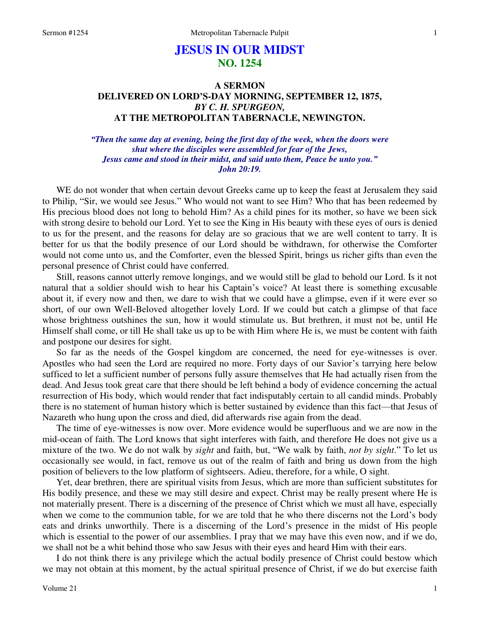## **JESUS IN OUR MIDST NO. 1254**

## **A SERMON DELIVERED ON LORD'S-DAY MORNING, SEPTEMBER 12, 1875,**  *BY C. H. SPURGEON,*  **AT THE METROPOLITAN TABERNACLE, NEWINGTON.**

*"Then the same day at evening, being the first day of the week, when the doors were shut where the disciples were assembled for fear of the Jews, Jesus came and stood in their midst, and said unto them, Peace be unto you." John 20:19.* 

WE do not wonder that when certain devout Greeks came up to keep the feast at Jerusalem they said to Philip, "Sir, we would see Jesus." Who would not want to see Him? Who that has been redeemed by His precious blood does not long to behold Him? As a child pines for its mother, so have we been sick with strong desire to behold our Lord. Yet to see the King in His beauty with these eyes of ours is denied to us for the present, and the reasons for delay are so gracious that we are well content to tarry. It is better for us that the bodily presence of our Lord should be withdrawn, for otherwise the Comforter would not come unto us, and the Comforter, even the blessed Spirit, brings us richer gifts than even the personal presence of Christ could have conferred.

 Still, reasons cannot utterly remove longings, and we would still be glad to behold our Lord. Is it not natural that a soldier should wish to hear his Captain's voice? At least there is something excusable about it, if every now and then, we dare to wish that we could have a glimpse, even if it were ever so short, of our own Well-Beloved altogether lovely Lord. If we could but catch a glimpse of that face whose brightness outshines the sun, how it would stimulate us. But brethren, it must not be, until He Himself shall come, or till He shall take us up to be with Him where He is, we must be content with faith and postpone our desires for sight.

 So far as the needs of the Gospel kingdom are concerned, the need for eye-witnesses is over. Apostles who had seen the Lord are required no more. Forty days of our Savior's tarrying here below sufficed to let a sufficient number of persons fully assure themselves that He had actually risen from the dead. And Jesus took great care that there should be left behind a body of evidence concerning the actual resurrection of His body, which would render that fact indisputably certain to all candid minds. Probably there is no statement of human history which is better sustained by evidence than this fact—that Jesus of Nazareth who hung upon the cross and died, did afterwards rise again from the dead.

 The time of eye-witnesses is now over. More evidence would be superfluous and we are now in the mid-ocean of faith. The Lord knows that sight interferes with faith, and therefore He does not give us a mixture of the two. We do not walk by *sight* and faith, but, "We walk by faith, *not by sight*." To let us occasionally see would, in fact, remove us out of the realm of faith and bring us down from the high position of believers to the low platform of sightseers. Adieu, therefore, for a while, O sight.

 Yet, dear brethren, there are spiritual visits from Jesus, which are more than sufficient substitutes for His bodily presence, and these we may still desire and expect. Christ may be really present where He is not materially present. There is a discerning of the presence of Christ which we must all have, especially when we come to the communion table, for we are told that he who there discerns not the Lord's body eats and drinks unworthily. There is a discerning of the Lord's presence in the midst of His people which is essential to the power of our assemblies. I pray that we may have this even now, and if we do, we shall not be a whit behind those who saw Jesus with their eyes and heard Him with their ears.

 I do not think there is any privilege which the actual bodily presence of Christ could bestow which we may not obtain at this moment, by the actual spiritual presence of Christ, if we do but exercise faith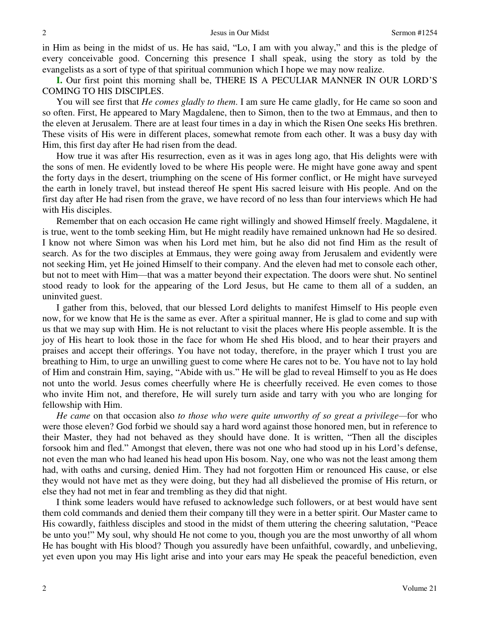in Him as being in the midst of us. He has said, "Lo, I am with you alway," and this is the pledge of every conceivable good. Concerning this presence I shall speak, using the story as told by the evangelists as a sort of type of that spiritual communion which I hope we may now realize.

**I.** Our first point this morning shall be, THERE IS A PECULIAR MANNER IN OUR LORD'S COMING TO HIS DISCIPLES.

You will see first that *He comes gladly to them*. I am sure He came gladly, for He came so soon and so often. First, He appeared to Mary Magdalene, then to Simon, then to the two at Emmaus, and then to the eleven at Jerusalem. There are at least four times in a day in which the Risen One seeks His brethren. These visits of His were in different places, somewhat remote from each other. It was a busy day with Him, this first day after He had risen from the dead.

 How true it was after His resurrection, even as it was in ages long ago, that His delights were with the sons of men. He evidently loved to be where His people were. He might have gone away and spent the forty days in the desert, triumphing on the scene of His former conflict, or He might have surveyed the earth in lonely travel, but instead thereof He spent His sacred leisure with His people. And on the first day after He had risen from the grave, we have record of no less than four interviews which He had with His disciples.

 Remember that on each occasion He came right willingly and showed Himself freely. Magdalene, it is true, went to the tomb seeking Him, but He might readily have remained unknown had He so desired. I know not where Simon was when his Lord met him, but he also did not find Him as the result of search. As for the two disciples at Emmaus, they were going away from Jerusalem and evidently were not seeking Him, yet He joined Himself to their company. And the eleven had met to console each other, but not to meet with Him—that was a matter beyond their expectation. The doors were shut. No sentinel stood ready to look for the appearing of the Lord Jesus, but He came to them all of a sudden, an uninvited guest.

 I gather from this, beloved, that our blessed Lord delights to manifest Himself to His people even now, for we know that He is the same as ever. After a spiritual manner, He is glad to come and sup with us that we may sup with Him. He is not reluctant to visit the places where His people assemble. It is the joy of His heart to look those in the face for whom He shed His blood, and to hear their prayers and praises and accept their offerings. You have not today, therefore, in the prayer which I trust you are breathing to Him, to urge an unwilling guest to come where He cares not to be. You have not to lay hold of Him and constrain Him, saying, "Abide with us." He will be glad to reveal Himself to you as He does not unto the world. Jesus comes cheerfully where He is cheerfully received. He even comes to those who invite Him not, and therefore, He will surely turn aside and tarry with you who are longing for fellowship with Him.

*He came* on that occasion also *to those who were quite unworthy of so great a privilege—*for who were those eleven? God forbid we should say a hard word against those honored men, but in reference to their Master, they had not behaved as they should have done. It is written, "Then all the disciples forsook him and fled." Amongst that eleven, there was not one who had stood up in his Lord's defense, not even the man who had leaned his head upon His bosom. Nay, one who was not the least among them had, with oaths and cursing, denied Him. They had not forgotten Him or renounced His cause, or else they would not have met as they were doing, but they had all disbelieved the promise of His return, or else they had not met in fear and trembling as they did that night.

 I think some leaders would have refused to acknowledge such followers, or at best would have sent them cold commands and denied them their company till they were in a better spirit. Our Master came to His cowardly, faithless disciples and stood in the midst of them uttering the cheering salutation, "Peace be unto you!" My soul, why should He not come to you, though you are the most unworthy of all whom He has bought with His blood? Though you assuredly have been unfaithful, cowardly, and unbelieving, yet even upon you may His light arise and into your ears may He speak the peaceful benediction, even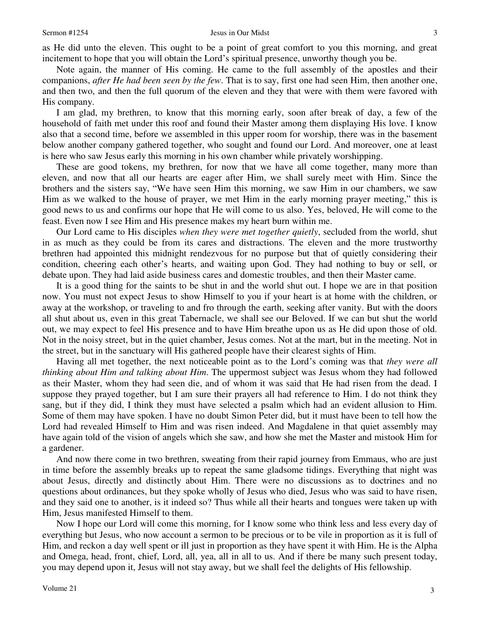as He did unto the eleven. This ought to be a point of great comfort to you this morning, and great incitement to hope that you will obtain the Lord's spiritual presence, unworthy though you be.

 Note again, the manner of His coming. He came to the full assembly of the apostles and their companions, *after He had been seen by the few*. That is to say, first one had seen Him, then another one, and then two, and then the full quorum of the eleven and they that were with them were favored with His company.

 I am glad, my brethren, to know that this morning early, soon after break of day, a few of the household of faith met under this roof and found their Master among them displaying His love. I know also that a second time, before we assembled in this upper room for worship, there was in the basement below another company gathered together, who sought and found our Lord. And moreover, one at least is here who saw Jesus early this morning in his own chamber while privately worshipping.

 These are good tokens, my brethren, for now that we have all come together, many more than eleven, and now that all our hearts are eager after Him, we shall surely meet with Him. Since the brothers and the sisters say, "We have seen Him this morning, we saw Him in our chambers, we saw Him as we walked to the house of prayer, we met Him in the early morning prayer meeting," this is good news to us and confirms our hope that He will come to us also. Yes, beloved, He will come to the feast. Even now I see Him and His presence makes my heart burn within me.

 Our Lord came to His disciples *when they were met together quietly*, secluded from the world, shut in as much as they could be from its cares and distractions. The eleven and the more trustworthy brethren had appointed this midnight rendezvous for no purpose but that of quietly considering their condition, cheering each other's hearts, and waiting upon God. They had nothing to buy or sell, or debate upon. They had laid aside business cares and domestic troubles, and then their Master came.

 It is a good thing for the saints to be shut in and the world shut out. I hope we are in that position now. You must not expect Jesus to show Himself to you if your heart is at home with the children, or away at the workshop, or traveling to and fro through the earth, seeking after vanity. But with the doors all shut about us, even in this great Tabernacle, we shall see our Beloved. If we can but shut the world out, we may expect to feel His presence and to have Him breathe upon us as He did upon those of old. Not in the noisy street, but in the quiet chamber, Jesus comes. Not at the mart, but in the meeting. Not in the street, but in the sanctuary will His gathered people have their clearest sights of Him.

 Having all met together, the next noticeable point as to the Lord's coming was that *they were all thinking about Him and talking about Him*. The uppermost subject was Jesus whom they had followed as their Master, whom they had seen die, and of whom it was said that He had risen from the dead. I suppose they prayed together, but I am sure their prayers all had reference to Him. I do not think they sang, but if they did, I think they must have selected a psalm which had an evident allusion to Him. Some of them may have spoken. I have no doubt Simon Peter did, but it must have been to tell how the Lord had revealed Himself to Him and was risen indeed. And Magdalene in that quiet assembly may have again told of the vision of angels which she saw, and how she met the Master and mistook Him for a gardener.

 And now there come in two brethren, sweating from their rapid journey from Emmaus, who are just in time before the assembly breaks up to repeat the same gladsome tidings. Everything that night was about Jesus, directly and distinctly about Him. There were no discussions as to doctrines and no questions about ordinances, but they spoke wholly of Jesus who died, Jesus who was said to have risen, and they said one to another, is it indeed so? Thus while all their hearts and tongues were taken up with Him, Jesus manifested Himself to them.

 Now I hope our Lord will come this morning, for I know some who think less and less every day of everything but Jesus, who now account a sermon to be precious or to be vile in proportion as it is full of Him, and reckon a day well spent or ill just in proportion as they have spent it with Him. He is the Alpha and Omega, head, front, chief, Lord, all, yea, all in all to us. And if there be many such present today, you may depend upon it, Jesus will not stay away, but we shall feel the delights of His fellowship.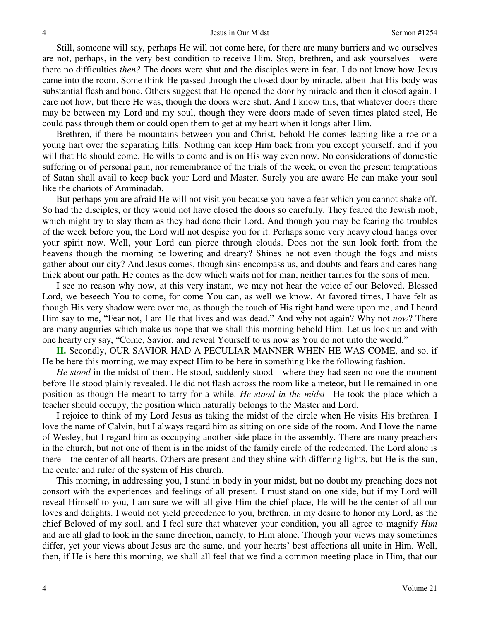Still, someone will say, perhaps He will not come here, for there are many barriers and we ourselves are not, perhaps, in the very best condition to receive Him. Stop, brethren, and ask yourselves—were there no difficulties *then?* The doors were shut and the disciples were in fear. I do not know how Jesus came into the room. Some think He passed through the closed door by miracle, albeit that His body was substantial flesh and bone. Others suggest that He opened the door by miracle and then it closed again. I care not how, but there He was, though the doors were shut. And I know this, that whatever doors there may be between my Lord and my soul, though they were doors made of seven times plated steel, He could pass through them or could open them to get at my heart when it longs after Him.

 Brethren, if there be mountains between you and Christ, behold He comes leaping like a roe or a young hart over the separating hills. Nothing can keep Him back from you except yourself, and if you will that He should come, He wills to come and is on His way even now. No considerations of domestic suffering or of personal pain, nor remembrance of the trials of the week, or even the present temptations of Satan shall avail to keep back your Lord and Master. Surely you are aware He can make your soul like the chariots of Amminadab.

 But perhaps you are afraid He will not visit you because you have a fear which you cannot shake off. So had the disciples, or they would not have closed the doors so carefully. They feared the Jewish mob, which might try to slay them as they had done their Lord. And though you may be fearing the troubles of the week before you, the Lord will not despise you for it. Perhaps some very heavy cloud hangs over your spirit now. Well, your Lord can pierce through clouds. Does not the sun look forth from the heavens though the morning be lowering and dreary? Shines he not even though the fogs and mists gather about our city? And Jesus comes, though sins encompass us, and doubts and fears and cares hang thick about our path. He comes as the dew which waits not for man, neither tarries for the sons of men.

 I see no reason why now, at this very instant, we may not hear the voice of our Beloved. Blessed Lord, we beseech You to come, for come You can, as well we know. At favored times, I have felt as though His very shadow were over me, as though the touch of His right hand were upon me, and I heard Him say to me, "Fear not, I am He that lives and was dead." And why not again? Why not *now*? There are many auguries which make us hope that we shall this morning behold Him. Let us look up and with one hearty cry say, "Come, Savior, and reveal Yourself to us now as You do not unto the world."

**II.** Secondly, OUR SAVIOR HAD A PECULIAR MANNER WHEN HE WAS COME, and so, if He be here this morning, we may expect Him to be here in something like the following fashion.

*He stood* in the midst of them. He stood, suddenly stood—where they had seen no one the moment before He stood plainly revealed. He did not flash across the room like a meteor, but He remained in one position as though He meant to tarry for a while. *He stood in the midst—*He took the place which a teacher should occupy, the position which naturally belongs to the Master and Lord.

 I rejoice to think of my Lord Jesus as taking the midst of the circle when He visits His brethren. I love the name of Calvin, but I always regard him as sitting on one side of the room. And I love the name of Wesley, but I regard him as occupying another side place in the assembly. There are many preachers in the church, but not one of them is in the midst of the family circle of the redeemed. The Lord alone is there—the center of all hearts. Others are present and they shine with differing lights, but He is the sun, the center and ruler of the system of His church.

 This morning, in addressing you, I stand in body in your midst, but no doubt my preaching does not consort with the experiences and feelings of all present. I must stand on one side, but if my Lord will reveal Himself to you, I am sure we will all give Him the chief place, He will be the center of all our loves and delights. I would not yield precedence to you, brethren, in my desire to honor my Lord, as the chief Beloved of my soul, and I feel sure that whatever your condition, you all agree to magnify *Him* and are all glad to look in the same direction, namely, to Him alone. Though your views may sometimes differ, yet your views about Jesus are the same, and your hearts' best affections all unite in Him. Well, then, if He is here this morning, we shall all feel that we find a common meeting place in Him, that our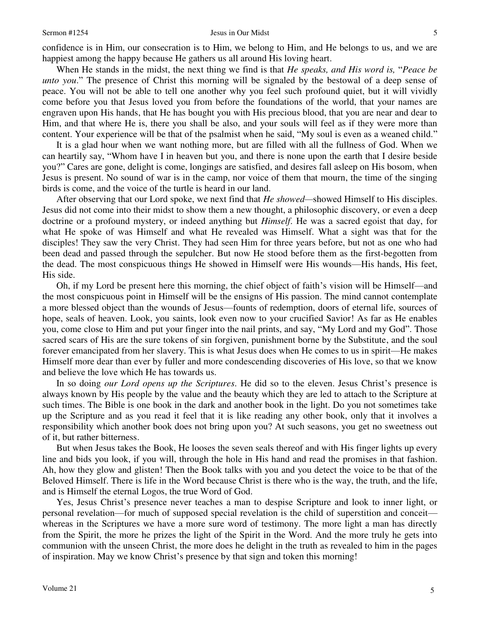## Sermon #1254 Jesus in Our Midst

confidence is in Him, our consecration is to Him, we belong to Him, and He belongs to us, and we are happiest among the happy because He gathers us all around His loving heart.

 When He stands in the midst, the next thing we find is that *He speaks, and His word is,* "*Peace be unto you*." The presence of Christ this morning will be signaled by the bestowal of a deep sense of peace. You will not be able to tell one another why you feel such profound quiet, but it will vividly come before you that Jesus loved you from before the foundations of the world, that your names are engraven upon His hands, that He has bought you with His precious blood, that you are near and dear to Him, and that where He is, there you shall be also, and your souls will feel as if they were more than content. Your experience will be that of the psalmist when he said, "My soul is even as a weaned child."

 It is a glad hour when we want nothing more, but are filled with all the fullness of God. When we can heartily say, "Whom have I in heaven but you, and there is none upon the earth that I desire beside you?" Cares are gone, delight is come, longings are satisfied, and desires fall asleep on His bosom, when Jesus is present. No sound of war is in the camp, nor voice of them that mourn, the time of the singing birds is come, and the voice of the turtle is heard in our land.

 After observing that our Lord spoke, we next find that *He showed—*showed Himself to His disciples. Jesus did not come into their midst to show them a new thought, a philosophic discovery, or even a deep doctrine or a profound mystery, or indeed anything but *Himself*. He was a sacred egoist that day, for what He spoke of was Himself and what He revealed was Himself. What a sight was that for the disciples! They saw the very Christ. They had seen Him for three years before, but not as one who had been dead and passed through the sepulcher. But now He stood before them as the first-begotten from the dead. The most conspicuous things He showed in Himself were His wounds—His hands, His feet, His side.

 Oh, if my Lord be present here this morning, the chief object of faith's vision will be Himself—and the most conspicuous point in Himself will be the ensigns of His passion. The mind cannot contemplate a more blessed object than the wounds of Jesus—founts of redemption, doors of eternal life, sources of hope, seals of heaven. Look, you saints, look even now to your crucified Savior! As far as He enables you, come close to Him and put your finger into the nail prints, and say, "My Lord and my God". Those sacred scars of His are the sure tokens of sin forgiven, punishment borne by the Substitute, and the soul forever emancipated from her slavery. This is what Jesus does when He comes to us in spirit—He makes Himself more dear than ever by fuller and more condescending discoveries of His love, so that we know and believe the love which He has towards us.

 In so doing *our Lord opens up the Scriptures*. He did so to the eleven. Jesus Christ's presence is always known by His people by the value and the beauty which they are led to attach to the Scripture at such times. The Bible is one book in the dark and another book in the light. Do you not sometimes take up the Scripture and as you read it feel that it is like reading any other book, only that it involves a responsibility which another book does not bring upon you? At such seasons, you get no sweetness out of it, but rather bitterness.

 But when Jesus takes the Book, He looses the seven seals thereof and with His finger lights up every line and bids you look, if you will, through the hole in His hand and read the promises in that fashion. Ah, how they glow and glisten! Then the Book talks with you and you detect the voice to be that of the Beloved Himself. There is life in the Word because Christ is there who is the way, the truth, and the life, and is Himself the eternal Logos, the true Word of God.

 Yes, Jesus Christ's presence never teaches a man to despise Scripture and look to inner light, or personal revelation—for much of supposed special revelation is the child of superstition and conceit whereas in the Scriptures we have a more sure word of testimony. The more light a man has directly from the Spirit, the more he prizes the light of the Spirit in the Word. And the more truly he gets into communion with the unseen Christ, the more does he delight in the truth as revealed to him in the pages of inspiration. May we know Christ's presence by that sign and token this morning!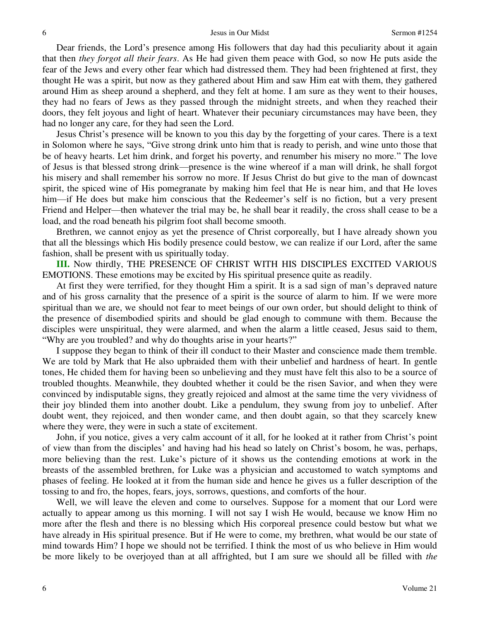Dear friends, the Lord's presence among His followers that day had this peculiarity about it again that then *they forgot all their fears*. As He had given them peace with God, so now He puts aside the fear of the Jews and every other fear which had distressed them. They had been frightened at first, they thought He was a spirit, but now as they gathered about Him and saw Him eat with them, they gathered around Him as sheep around a shepherd, and they felt at home. I am sure as they went to their houses, they had no fears of Jews as they passed through the midnight streets, and when they reached their doors, they felt joyous and light of heart. Whatever their pecuniary circumstances may have been, they had no longer any care, for they had seen the Lord.

 Jesus Christ's presence will be known to you this day by the forgetting of your cares. There is a text in Solomon where he says, "Give strong drink unto him that is ready to perish, and wine unto those that be of heavy hearts. Let him drink, and forget his poverty, and renumber his misery no more." The love of Jesus is that blessed strong drink—presence is the wine whereof if a man will drink, he shall forgot his misery and shall remember his sorrow no more. If Jesus Christ do but give to the man of downcast spirit, the spiced wine of His pomegranate by making him feel that He is near him, and that He loves him—if He does but make him conscious that the Redeemer's self is no fiction, but a very present Friend and Helper—then whatever the trial may be, he shall bear it readily, the cross shall cease to be a load, and the road beneath his pilgrim foot shall become smooth.

 Brethren, we cannot enjoy as yet the presence of Christ corporeally, but I have already shown you that all the blessings which His bodily presence could bestow, we can realize if our Lord, after the same fashion, shall be present with us spiritually today.

**III.** Now thirdly, THE PRESENCE OF CHRIST WITH HIS DISCIPLES EXCITED VARIOUS EMOTIONS. These emotions may be excited by His spiritual presence quite as readily.

 At first they were terrified, for they thought Him a spirit. It is a sad sign of man's depraved nature and of his gross carnality that the presence of a spirit is the source of alarm to him. If we were more spiritual than we are, we should not fear to meet beings of our own order, but should delight to think of the presence of disembodied spirits and should be glad enough to commune with them. Because the disciples were unspiritual, they were alarmed, and when the alarm a little ceased, Jesus said to them, "Why are you troubled? and why do thoughts arise in your hearts?"

 I suppose they began to think of their ill conduct to their Master and conscience made them tremble. We are told by Mark that He also upbraided them with their unbelief and hardness of heart. In gentle tones, He chided them for having been so unbelieving and they must have felt this also to be a source of troubled thoughts. Meanwhile, they doubted whether it could be the risen Savior, and when they were convinced by indisputable signs, they greatly rejoiced and almost at the same time the very vividness of their joy blinded them into another doubt. Like a pendulum, they swung from joy to unbelief. After doubt went, they rejoiced, and then wonder came, and then doubt again, so that they scarcely knew where they were, they were in such a state of excitement.

 John, if you notice, gives a very calm account of it all, for he looked at it rather from Christ's point of view than from the disciples' and having had his head so lately on Christ's bosom, he was, perhaps, more believing than the rest. Luke's picture of it shows us the contending emotions at work in the breasts of the assembled brethren, for Luke was a physician and accustomed to watch symptoms and phases of feeling. He looked at it from the human side and hence he gives us a fuller description of the tossing to and fro, the hopes, fears, joys, sorrows, questions, and comforts of the hour.

 Well, we will leave the eleven and come to ourselves. Suppose for a moment that our Lord were actually to appear among us this morning. I will not say I wish He would, because we know Him no more after the flesh and there is no blessing which His corporeal presence could bestow but what we have already in His spiritual presence. But if He were to come, my brethren, what would be our state of mind towards Him? I hope we should not be terrified. I think the most of us who believe in Him would be more likely to be overjoyed than at all affrighted, but I am sure we should all be filled with *the*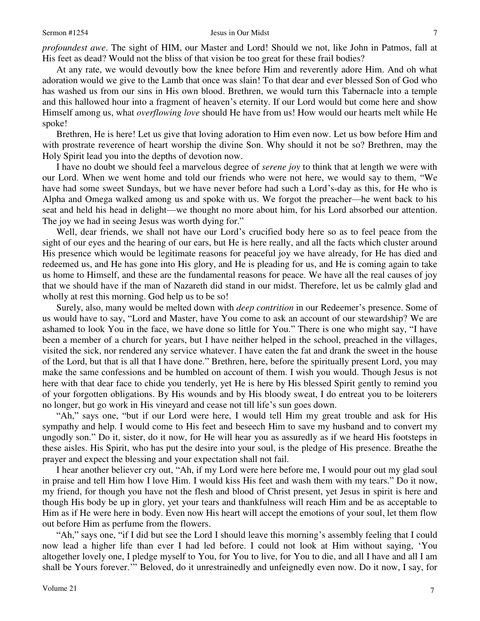*profoundest awe*. The sight of HIM, our Master and Lord! Should we not, like John in Patmos, fall at His feet as dead? Would not the bliss of that vision be too great for these frail bodies?

 At any rate, we would devoutly bow the knee before Him and reverently adore Him. And oh what adoration would we give to the Lamb that once was slain! To that dear and ever blessed Son of God who has washed us from our sins in His own blood. Brethren, we would turn this Tabernacle into a temple and this hallowed hour into a fragment of heaven's eternity. If our Lord would but come here and show Himself among us, what *overflowing love* should He have from us! How would our hearts melt while He spoke!

 Brethren, He is here! Let us give that loving adoration to Him even now. Let us bow before Him and with prostrate reverence of heart worship the divine Son. Why should it not be so? Brethren, may the Holy Spirit lead you into the depths of devotion now.

 I have no doubt we should feel a marvelous degree of *serene joy* to think that at length we were with our Lord. When we went home and told our friends who were not here, we would say to them, "We have had some sweet Sundays, but we have never before had such a Lord's-day as this, for He who is Alpha and Omega walked among us and spoke with us. We forgot the preacher—he went back to his seat and held his head in delight—we thought no more about him, for his Lord absorbed our attention. The joy we had in seeing Jesus was worth dying for."

 Well, dear friends, we shall not have our Lord's crucified body here so as to feel peace from the sight of our eyes and the hearing of our ears, but He is here really, and all the facts which cluster around His presence which would be legitimate reasons for peaceful joy we have already, for He has died and redeemed us, and He has gone into His glory, and He is pleading for us, and He is coming again to take us home to Himself, and these are the fundamental reasons for peace. We have all the real causes of joy that we should have if the man of Nazareth did stand in our midst. Therefore, let us be calmly glad and wholly at rest this morning. God help us to be so!

 Surely, also, many would be melted down with *deep contrition* in our Redeemer's presence. Some of us would have to say, "Lord and Master, have You come to ask an account of our stewardship? We are ashamed to look You in the face, we have done so little for You." There is one who might say, "I have been a member of a church for years, but I have neither helped in the school, preached in the villages, visited the sick, nor rendered any service whatever. I have eaten the fat and drank the sweet in the house of the Lord, but that is all that I have done." Brethren, here, before the spiritually present Lord, you may make the same confessions and be humbled on account of them. I wish you would. Though Jesus is not here with that dear face to chide you tenderly, yet He is here by His blessed Spirit gently to remind you of your forgotten obligations. By His wounds and by His bloody sweat, I do entreat you to be loiterers no longer, but go work in His vineyard and cease not till life's sun goes down.

"Ah," says one, "but if our Lord were here, I would tell Him my great trouble and ask for His sympathy and help. I would come to His feet and beseech Him to save my husband and to convert my ungodly son." Do it, sister, do it now, for He will hear you as assuredly as if we heard His footsteps in these aisles. His Spirit, who has put the desire into your soul, is the pledge of His presence. Breathe the prayer and expect the blessing and your expectation shall not fail.

 I hear another believer cry out, "Ah, if my Lord were here before me, I would pour out my glad soul in praise and tell Him how I love Him. I would kiss His feet and wash them with my tears." Do it now, my friend, for though you have not the flesh and blood of Christ present, yet Jesus in spirit is here and though His body be up in glory, yet your tears and thankfulness will reach Him and be as acceptable to Him as if He were here in body. Even now His heart will accept the emotions of your soul, let them flow out before Him as perfume from the flowers.

"Ah," says one, "if I did but see the Lord I should leave this morning's assembly feeling that I could now lead a higher life than ever I had led before. I could not look at Him without saying, 'You altogether lovely one, I pledge myself to You, for You to live, for You to die, and all I have and all I am shall be Yours forever.'" Beloved, do it unrestrainedly and unfeignedly even now. Do it now, I say, for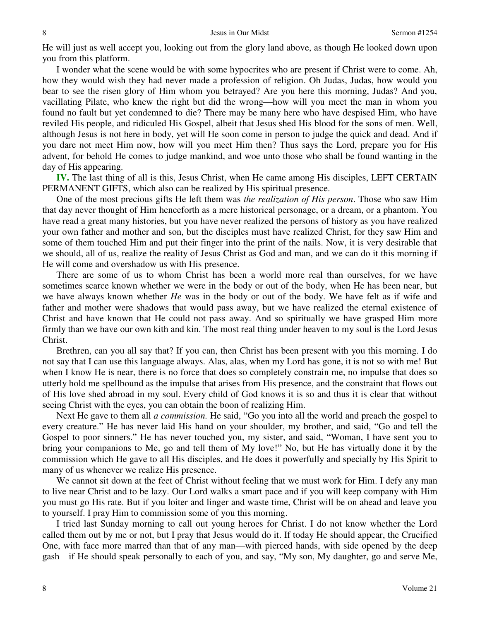He will just as well accept you, looking out from the glory land above, as though He looked down upon you from this platform.

 I wonder what the scene would be with some hypocrites who are present if Christ were to come. Ah, how they would wish they had never made a profession of religion. Oh Judas, Judas, how would you bear to see the risen glory of Him whom you betrayed? Are you here this morning, Judas? And you, vacillating Pilate, who knew the right but did the wrong—how will you meet the man in whom you found no fault but yet condemned to die? There may be many here who have despised Him, who have reviled His people, and ridiculed His Gospel, albeit that Jesus shed His blood for the sons of men. Well, although Jesus is not here in body, yet will He soon come in person to judge the quick and dead. And if you dare not meet Him now, how will you meet Him then? Thus says the Lord, prepare you for His advent, for behold He comes to judge mankind, and woe unto those who shall be found wanting in the day of His appearing.

**IV.** The last thing of all is this, Jesus Christ, when He came among His disciples, LEFT CERTAIN PERMANENT GIFTS, which also can be realized by His spiritual presence.

 One of the most precious gifts He left them was *the realization of His person*. Those who saw Him that day never thought of Him henceforth as a mere historical personage, or a dream, or a phantom. You have read a great many histories, but you have never realized the persons of history as you have realized your own father and mother and son, but the disciples must have realized Christ, for they saw Him and some of them touched Him and put their finger into the print of the nails. Now, it is very desirable that we should, all of us, realize the reality of Jesus Christ as God and man, and we can do it this morning if He will come and overshadow us with His presence.

 There are some of us to whom Christ has been a world more real than ourselves, for we have sometimes scarce known whether we were in the body or out of the body, when He has been near, but we have always known whether *He* was in the body or out of the body. We have felt as if wife and father and mother were shadows that would pass away, but we have realized the eternal existence of Christ and have known that He could not pass away. And so spiritually we have grasped Him more firmly than we have our own kith and kin. The most real thing under heaven to my soul is the Lord Jesus Christ.

 Brethren, can you all say that? If you can, then Christ has been present with you this morning. I do not say that I can use this language always. Alas, alas, when my Lord has gone, it is not so with me! But when I know He is near, there is no force that does so completely constrain me, no impulse that does so utterly hold me spellbound as the impulse that arises from His presence, and the constraint that flows out of His love shed abroad in my soul. Every child of God knows it is so and thus it is clear that without seeing Christ with the eyes, you can obtain the boon of realizing Him.

 Next He gave to them all *a commission.* He said, "Go you into all the world and preach the gospel to every creature." He has never laid His hand on your shoulder, my brother, and said, "Go and tell the Gospel to poor sinners." He has never touched you, my sister, and said, "Woman, I have sent you to bring your companions to Me, go and tell them of My love!" No, but He has virtually done it by the commission which He gave to all His disciples, and He does it powerfully and specially by His Spirit to many of us whenever we realize His presence.

We cannot sit down at the feet of Christ without feeling that we must work for Him. I defy any man to live near Christ and to be lazy. Our Lord walks a smart pace and if you will keep company with Him you must go His rate. But if you loiter and linger and waste time, Christ will be on ahead and leave you to yourself. I pray Him to commission some of you this morning.

 I tried last Sunday morning to call out young heroes for Christ. I do not know whether the Lord called them out by me or not, but I pray that Jesus would do it. If today He should appear, the Crucified One, with face more marred than that of any man—with pierced hands, with side opened by the deep gash—if He should speak personally to each of you, and say, "My son, My daughter, go and serve Me,